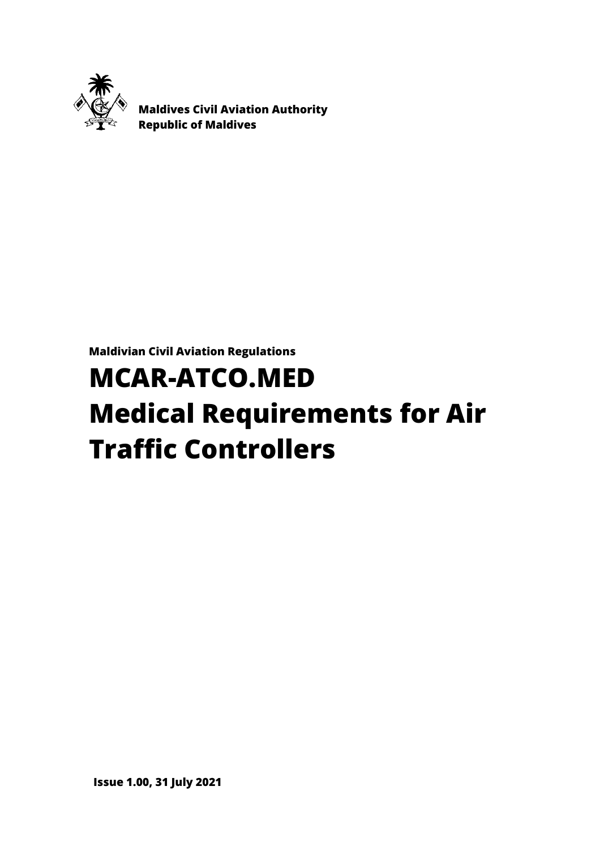

 **Maldives Civil Aviation Authority Republic of Maldives**

**Maldivian Civil Aviation Regulations**

# **MCAR-ATCO.MED Medical Requirements for Air Traffic Controllers**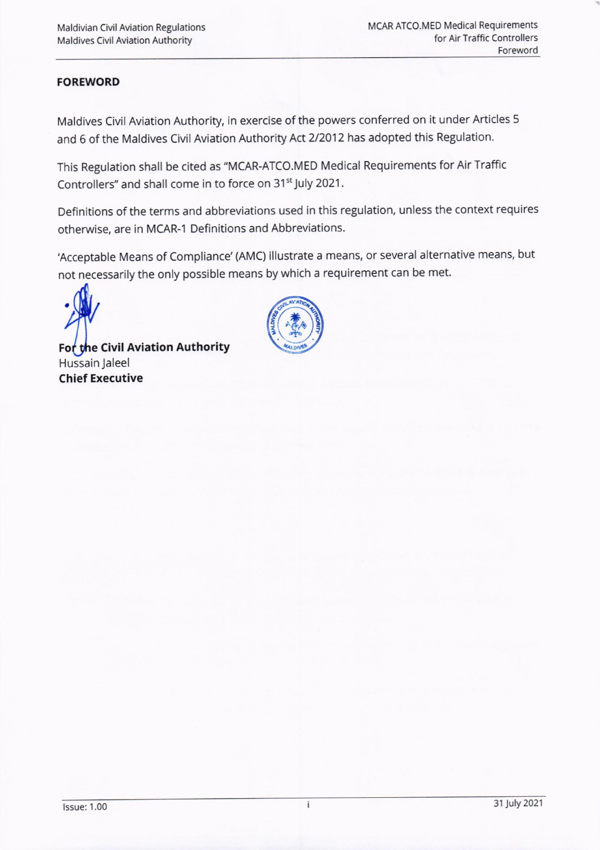## FOREWORD

Maldives Civil Aviation Authority, in exercise of the powers conferred on it under Articles <sup>5</sup> and 6 of the Maldives Civil Aviation Authority Act 2/2012 has adopted this Regulation.

This Regulation shall be cited as "MCAR-ATCO.MED Medical Requirements for Air Traffic Controllers" and shall come in to force on 31<sup>st</sup> July 2021.

Definitions of the terms and abbreviations used in this regulation, unless the context requires otherwise, are in MCAR-1 Definitions and Abbreviations.

Acceptable Means of Compliance'(AMC) illustrate a means, or several alternative means, but not necessarily the only possible means by which a requirement can be met.

For the Civil Aviation Authority Hussain Jaleel Chief Executive

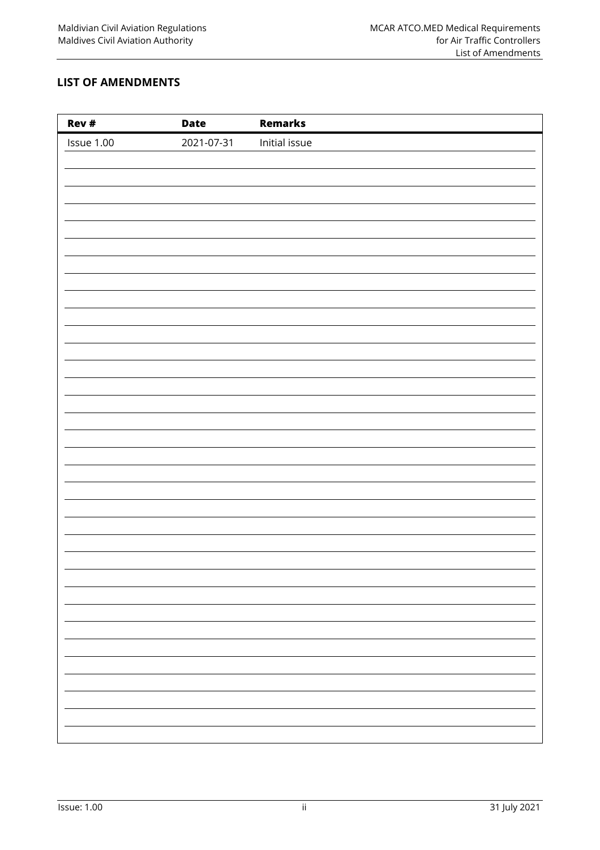## <span id="page-2-0"></span>**LIST OF AMENDMENTS**

| Rev #      | <b>Date</b> | <b>Remarks</b> |
|------------|-------------|----------------|
| Issue 1.00 | 2021-07-31  | Initial issue  |
|            |             |                |
|            |             |                |
|            |             |                |
|            |             |                |
|            |             |                |
|            |             |                |
|            |             |                |
|            |             |                |
|            |             |                |
|            |             |                |
|            |             |                |
|            |             |                |
|            |             |                |
|            |             |                |
|            |             |                |
|            |             |                |
|            |             |                |
|            |             |                |
|            |             |                |
|            |             |                |
|            |             |                |
|            |             |                |
|            |             |                |
|            |             |                |
|            |             |                |
|            |             |                |
|            |             |                |
|            |             |                |
|            |             |                |
|            |             |                |
|            |             |                |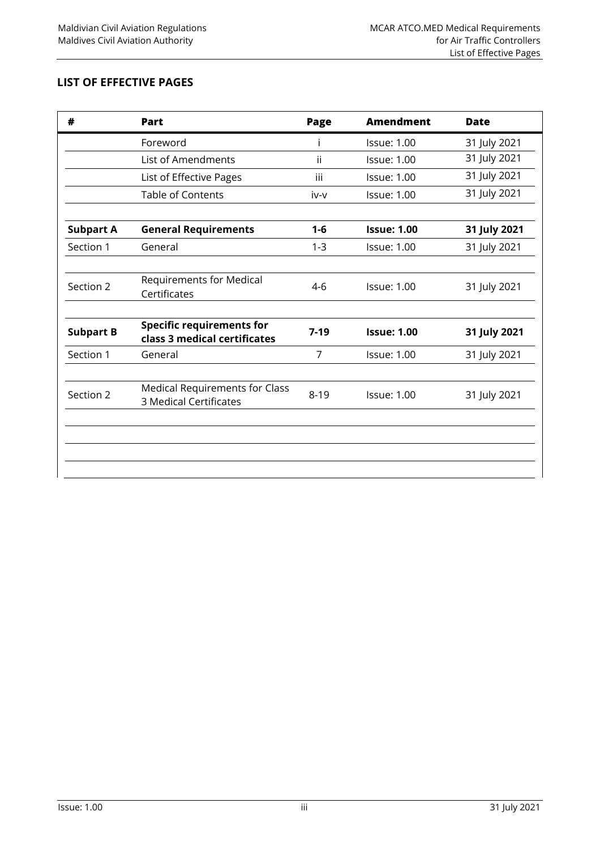## <span id="page-3-0"></span>**LIST OF EFFECTIVE PAGES**

| #                | Part                                                             | Page     | <b>Amendment</b>   | <b>Date</b>  |
|------------------|------------------------------------------------------------------|----------|--------------------|--------------|
|                  | Foreword                                                         | T        | <b>Issue: 1.00</b> | 31 July 2021 |
|                  | <b>List of Amendments</b>                                        | ii       | <b>Issue: 1.00</b> | 31 July 2021 |
|                  | List of Effective Pages                                          | iii      | <b>Issue: 1.00</b> | 31 July 2021 |
|                  | <b>Table of Contents</b>                                         | iv-v     | <b>Issue: 1.00</b> | 31 July 2021 |
| <b>Subpart A</b> | <b>General Requirements</b>                                      | $1 - 6$  | <b>Issue: 1.00</b> | 31 July 2021 |
| Section 1        | General                                                          | $1 - 3$  | <b>Issue: 1.00</b> | 31 July 2021 |
| Section 2        | Requirements for Medical<br>Certificates                         | $4-6$    | <b>Issue: 1.00</b> | 31 July 2021 |
| <b>Subpart B</b> | <b>Specific requirements for</b><br>class 3 medical certificates | $7-19$   | <b>Issue: 1.00</b> | 31 July 2021 |
| Section 1        | General                                                          | 7        | <b>Issue: 1.00</b> | 31 July 2021 |
| Section 2        | <b>Medical Requirements for Class</b><br>3 Medical Certificates  | $8 - 19$ | <b>Issue: 1.00</b> | 31 July 2021 |
|                  |                                                                  |          |                    |              |
|                  |                                                                  |          |                    |              |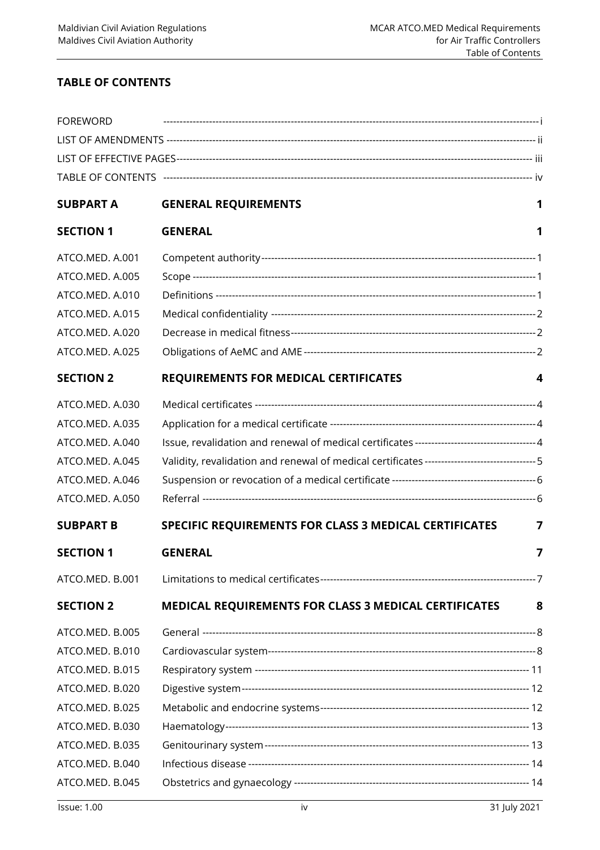## <span id="page-4-0"></span>**TABLE OF CONTENTS**

| <b>FOREWORD</b>  |                                                                                               |   |
|------------------|-----------------------------------------------------------------------------------------------|---|
|                  |                                                                                               |   |
|                  |                                                                                               |   |
|                  |                                                                                               |   |
| <b>SUBPART A</b> | <b>GENERAL REQUIREMENTS</b>                                                                   | 1 |
| <b>SECTION 1</b> | <b>GENERAL</b>                                                                                | 1 |
| ATCO.MED. A.001  |                                                                                               |   |
| ATCO.MED. A.005  |                                                                                               |   |
| ATCO.MED. A.010  |                                                                                               |   |
| ATCO.MED. A.015  |                                                                                               |   |
| ATCO.MED. A.020  |                                                                                               |   |
| ATCO.MED. A.025  |                                                                                               |   |
| <b>SECTION 2</b> | <b>REQUIREMENTS FOR MEDICAL CERTIFICATES</b>                                                  | 4 |
| ATCO.MED. A.030  |                                                                                               |   |
| ATCO.MED. A.035  |                                                                                               |   |
| ATCO.MED. A.040  | Issue, revalidation and renewal of medical certificates ----------------------------------4   |   |
| ATCO.MED. A.045  | Validity, revalidation and renewal of medical certificates ---------------------------------5 |   |
| ATCO.MED. A.046  |                                                                                               |   |
| ATCO.MED. A.050  |                                                                                               |   |
| <b>SUBPART B</b> | SPECIFIC REQUIREMENTS FOR CLASS 3 MEDICAL CERTIFICATES                                        | 7 |
| <b>SECTION 1</b> | <b>GENERAL</b>                                                                                | 7 |
| ATCO.MED. B.001  |                                                                                               |   |
| <b>SECTION 2</b> | <b>MEDICAL REQUIREMENTS FOR CLASS 3 MEDICAL CERTIFICATES</b>                                  | 8 |
| ATCO.MED. B.005  |                                                                                               |   |
| ATCO.MED. B.010  |                                                                                               |   |
| ATCO.MED. B.015  |                                                                                               |   |
| ATCO.MED. B.020  |                                                                                               |   |
| ATCO.MED. B.025  |                                                                                               |   |
| ATCO.MED. B.030  |                                                                                               |   |
| ATCO.MED. B.035  |                                                                                               |   |
| ATCO.MED. B.040  |                                                                                               |   |
| ATCO.MED. B.045  |                                                                                               |   |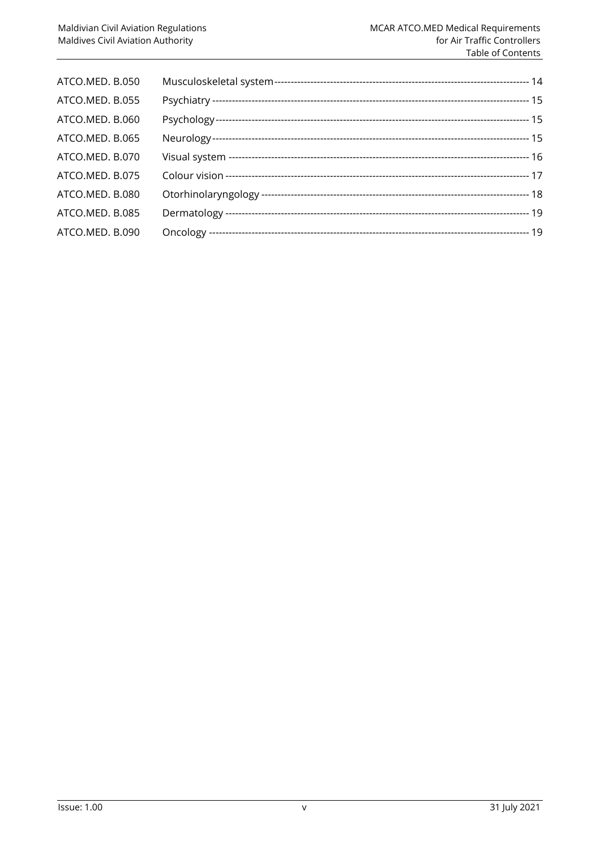<span id="page-5-0"></span>

| ATCO.MED. B.050 |  |
|-----------------|--|
| ATCO.MED. B.055 |  |
| ATCO.MED. B.060 |  |
| ATCO.MED. B.065 |  |
| ATCO.MED. B.070 |  |
| ATCO.MED. B.075 |  |
| ATCO.MED. B.080 |  |
| ATCO.MED. B.085 |  |
| ATCO.MED. B.090 |  |
|                 |  |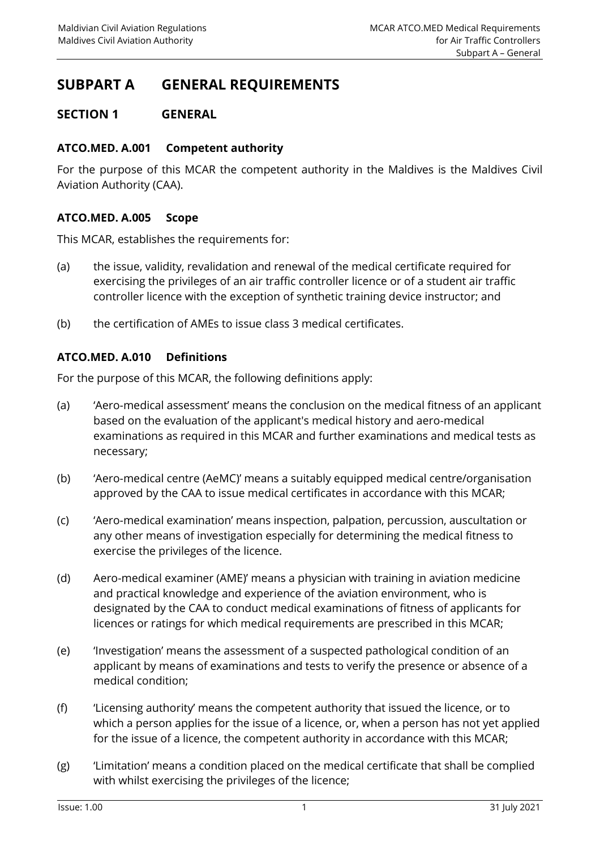# **SUBPART A GENERAL REQUIREMENTS**

## <span id="page-6-1"></span><span id="page-6-0"></span>**SECTION 1 GENERAL**

## **ATCO.MED. A.001 Competent authority**

For the purpose of this MCAR the competent authority in the Maldives is the Maldives Civil Aviation Authority (CAA).

## <span id="page-6-2"></span>**ATCO.MED. A.005 Scope**

This MCAR, establishes the requirements for:

- (a) the issue, validity, revalidation and renewal of the medical certificate required for exercising the privileges of an air traffic controller licence or of a student air traffic controller licence with the exception of synthetic training device instructor; and
- <span id="page-6-3"></span>(b) the certification of AMEs to issue class 3 medical certificates.

#### **ATCO.MED. A.010 Definitions**

For the purpose of this MCAR, the following definitions apply:

- (a) 'Aero-medical assessment' means the conclusion on the medical fitness of an applicant based on the evaluation of the applicant's medical history and aero-medical examinations as required in this MCAR and further examinations and medical tests as necessary;
- (b) 'Aero-medical centre (AeMC)' means a suitably equipped medical centre/organisation approved by the CAA to issue medical certificates in accordance with this MCAR;
- (c) 'Aero-medical examination' means inspection, palpation, percussion, auscultation or any other means of investigation especially for determining the medical fitness to exercise the privileges of the licence.
- (d) Aero-medical examiner (AME)' means a physician with training in aviation medicine and practical knowledge and experience of the aviation environment, who is designated by the CAA to conduct medical examinations of fitness of applicants for licences or ratings for which medical requirements are prescribed in this MCAR;
- (e) 'Investigation' means the assessment of a suspected pathological condition of an applicant by means of examinations and tests to verify the presence or absence of a medical condition;
- (f) 'Licensing authority' means the competent authority that issued the licence, or to which a person applies for the issue of a licence, or, when a person has not yet applied for the issue of a licence, the competent authority in accordance with this MCAR;
- (g) 'Limitation' means a condition placed on the medical certificate that shall be complied with whilst exercising the privileges of the licence;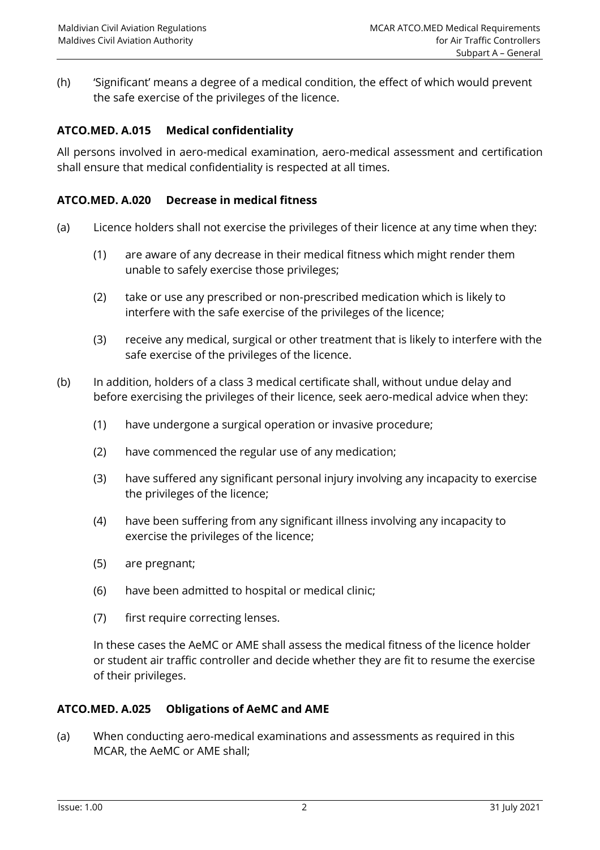(h) 'Significant' means a degree of a medical condition, the effect of which would prevent the safe exercise of the privileges of the licence.

## <span id="page-7-0"></span>**ATCO.MED. A.015 Medical confidentiality**

All persons involved in aero-medical examination, aero-medical assessment and certification shall ensure that medical confidentiality is respected at all times.

## <span id="page-7-1"></span>**ATCO.MED. A.020 Decrease in medical fitness**

- (a) Licence holders shall not exercise the privileges of their licence at any time when they:
	- (1) are aware of any decrease in their medical fitness which might render them unable to safely exercise those privileges;
	- (2) take or use any prescribed or non-prescribed medication which is likely to interfere with the safe exercise of the privileges of the licence;
	- (3) receive any medical, surgical or other treatment that is likely to interfere with the safe exercise of the privileges of the licence.
- (b) In addition, holders of a class 3 medical certificate shall, without undue delay and before exercising the privileges of their licence, seek aero-medical advice when they:
	- (1) have undergone a surgical operation or invasive procedure;
	- (2) have commenced the regular use of any medication;
	- (3) have suffered any significant personal injury involving any incapacity to exercise the privileges of the licence;
	- (4) have been suffering from any significant illness involving any incapacity to exercise the privileges of the licence;
	- (5) are pregnant;
	- (6) have been admitted to hospital or medical clinic;
	- (7) first require correcting lenses.

In these cases the AeMC or AME shall assess the medical fitness of the licence holder or student air traffic controller and decide whether they are fit to resume the exercise of their privileges.

#### <span id="page-7-2"></span>**ATCO.MED. A.025 Obligations of AeMC and AME**

(a) When conducting aero-medical examinations and assessments as required in this MCAR, the AeMC or AME shall;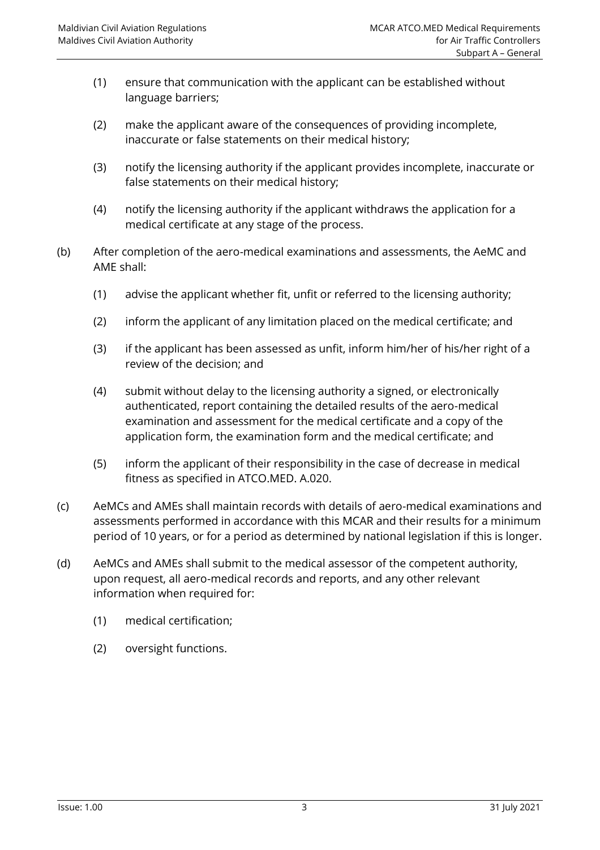- (1) ensure that communication with the applicant can be established without language barriers;
- (2) make the applicant aware of the consequences of providing incomplete, inaccurate or false statements on their medical history;
- (3) notify the licensing authority if the applicant provides incomplete, inaccurate or false statements on their medical history;
- (4) notify the licensing authority if the applicant withdraws the application for a medical certificate at any stage of the process.
- (b) After completion of the aero-medical examinations and assessments, the AeMC and AME shall:
	- (1) advise the applicant whether fit, unfit or referred to the licensing authority;
	- (2) inform the applicant of any limitation placed on the medical certificate; and
	- (3) if the applicant has been assessed as unfit, inform him/her of his/her right of a review of the decision; and
	- (4) submit without delay to the licensing authority a signed, or electronically authenticated, report containing the detailed results of the aero-medical examination and assessment for the medical certificate and a copy of the application form, the examination form and the medical certificate; and
	- (5) inform the applicant of their responsibility in the case of decrease in medical fitness as specified in ATCO.MED. A.020.
- (c) AeMCs and AMEs shall maintain records with details of aero-medical examinations and assessments performed in accordance with this MCAR and their results for a minimum period of 10 years, or for a period as determined by national legislation if this is longer.
- (d) AeMCs and AMEs shall submit to the medical assessor of the competent authority, upon request, all aero-medical records and reports, and any other relevant information when required for:
	- (1) medical certification;
	- (2) oversight functions.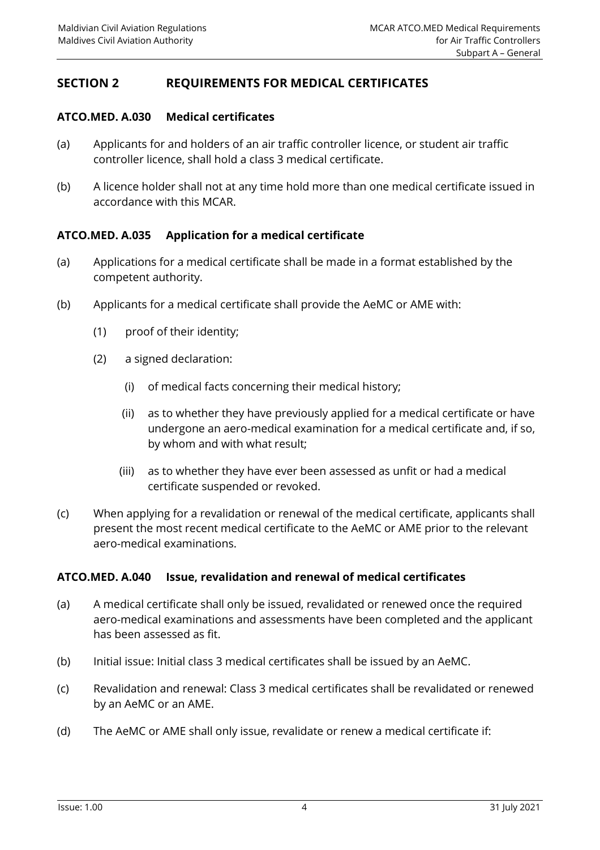## <span id="page-9-1"></span><span id="page-9-0"></span>**SECTION 2 REQUIREMENTS FOR MEDICAL CERTIFICATES**

#### **ATCO.MED. A.030 Medical certificates**

- (a) Applicants for and holders of an air traffic controller licence, or student air traffic controller licence, shall hold a class 3 medical certificate.
- (b) A licence holder shall not at any time hold more than one medical certificate issued in accordance with this MCAR.

#### <span id="page-9-2"></span>**ATCO.MED. A.035 Application for a medical certificate**

- (a) Applications for a medical certificate shall be made in a format established by the competent authority.
- (b) Applicants for a medical certificate shall provide the AeMC or AME with:
	- (1) proof of their identity;
	- (2) a signed declaration:
		- (i) of medical facts concerning their medical history;
		- (ii) as to whether they have previously applied for a medical certificate or have undergone an aero-medical examination for a medical certificate and, if so, by whom and with what result;
		- (iii) as to whether they have ever been assessed as unfit or had a medical certificate suspended or revoked.
- (c) When applying for a revalidation or renewal of the medical certificate, applicants shall present the most recent medical certificate to the AeMC or AME prior to the relevant aero-medical examinations.

#### <span id="page-9-3"></span>**ATCO.MED. A.040 Issue, revalidation and renewal of medical certificates**

- (a) A medical certificate shall only be issued, revalidated or renewed once the required aero-medical examinations and assessments have been completed and the applicant has been assessed as fit.
- (b) Initial issue: Initial class 3 medical certificates shall be issued by an AeMC.
- (c) Revalidation and renewal: Class 3 medical certificates shall be revalidated or renewed by an AeMC or an AME.
- (d) The AeMC or AME shall only issue, revalidate or renew a medical certificate if: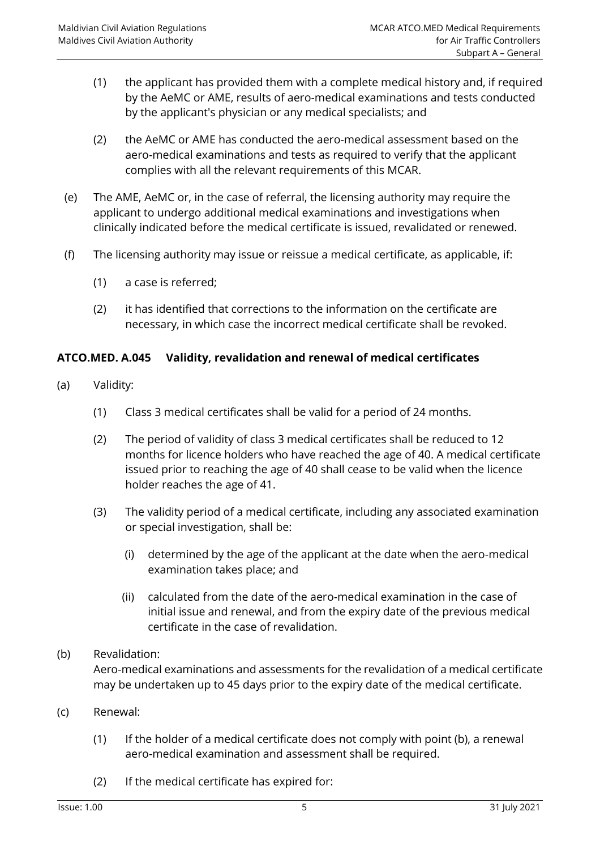- (1) the applicant has provided them with a complete medical history and, if required by the AeMC or AME, results of aero-medical examinations and tests conducted by the applicant's physician or any medical specialists; and
- (2) the AeMC or AME has conducted the aero-medical assessment based on the aero-medical examinations and tests as required to verify that the applicant complies with all the relevant requirements of this MCAR.
- (e) The AME, AeMC or, in the case of referral, the licensing authority may require the applicant to undergo additional medical examinations and investigations when clinically indicated before the medical certificate is issued, revalidated or renewed.
- (f) The licensing authority may issue or reissue a medical certificate, as applicable, if:
	- (1) a case is referred;
	- (2) it has identified that corrections to the information on the certificate are necessary, in which case the incorrect medical certificate shall be revoked.

## <span id="page-10-0"></span>**ATCO.MED. A.045 Validity, revalidation and renewal of medical certificates**

- (a) Validity:
	- (1) Class 3 medical certificates shall be valid for a period of 24 months.
	- (2) The period of validity of class 3 medical certificates shall be reduced to 12 months for licence holders who have reached the age of 40. A medical certificate issued prior to reaching the age of 40 shall cease to be valid when the licence holder reaches the age of 41.
	- (3) The validity period of a medical certificate, including any associated examination or special investigation, shall be:
		- (i) determined by the age of the applicant at the date when the aero-medical examination takes place; and
		- (ii) calculated from the date of the aero-medical examination in the case of initial issue and renewal, and from the expiry date of the previous medical certificate in the case of revalidation.
- (b) Revalidation:

Aero-medical examinations and assessments for the revalidation of a medical certificate may be undertaken up to 45 days prior to the expiry date of the medical certificate.

- (c) Renewal:
	- (1) If the holder of a medical certificate does not comply with point (b), a renewal aero-medical examination and assessment shall be required.
	- (2) If the medical certificate has expired for: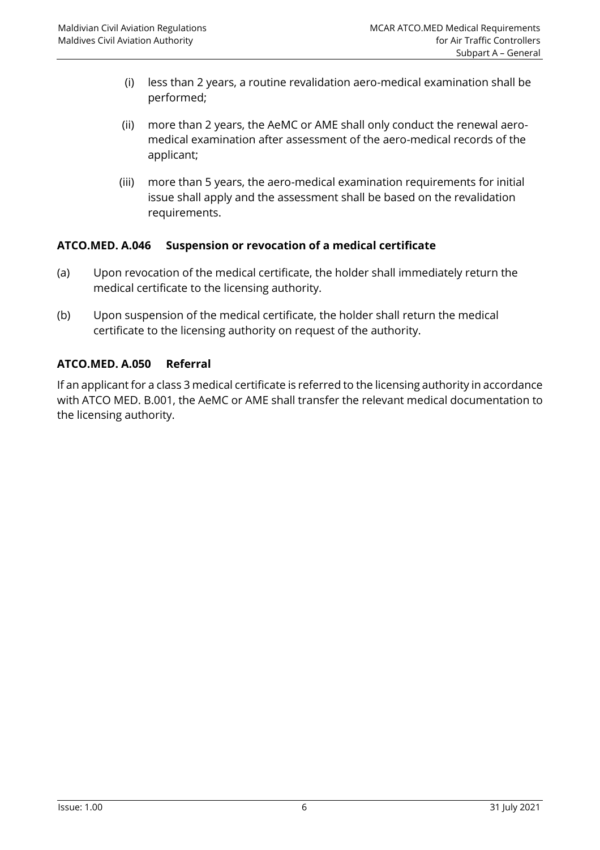- (i) less than 2 years, a routine revalidation aero-medical examination shall be performed;
- (ii) more than 2 years, the AeMC or AME shall only conduct the renewal aeromedical examination after assessment of the aero-medical records of the applicant;
- (iii) more than 5 years, the aero-medical examination requirements for initial issue shall apply and the assessment shall be based on the revalidation requirements.

## <span id="page-11-0"></span>**ATCO.MED. A.046 Suspension or revocation of a medical certificate**

- (a) Upon revocation of the medical certificate, the holder shall immediately return the medical certificate to the licensing authority.
- (b) Upon suspension of the medical certificate, the holder shall return the medical certificate to the licensing authority on request of the authority.

## <span id="page-11-1"></span>**ATCO.MED. A.050 Referral**

If an applicant for a class 3 medical certificate is referred to the licensing authority in accordance with ATCO MED. B.001, the AeMC or AME shall transfer the relevant medical documentation to the licensing authority.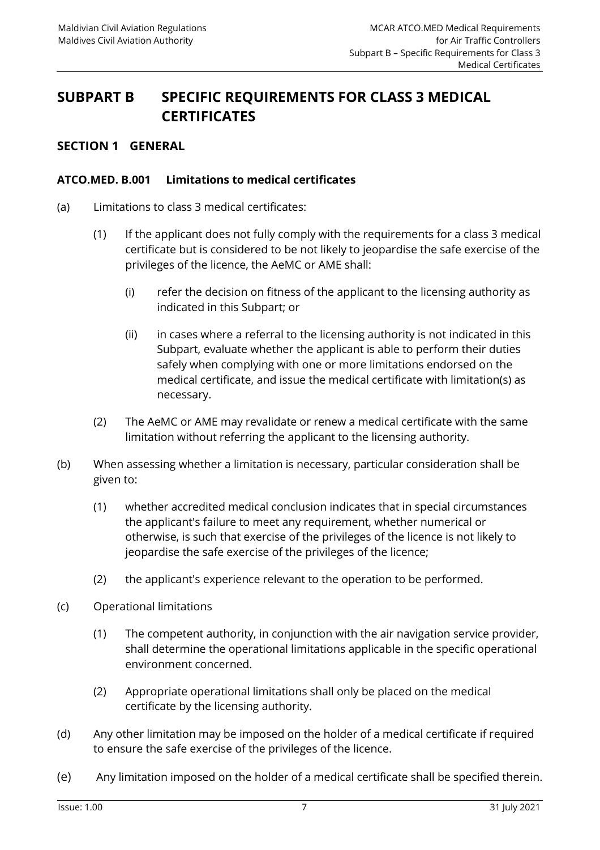## <span id="page-12-0"></span>**SUBPART B SPECIFIC REQUIREMENTS FOR CLASS 3 MEDICAL CERTIFICATES**

## <span id="page-12-2"></span><span id="page-12-1"></span>**SECTION 1 GENERAL**

#### **ATCO.MED. B.001 Limitations to medical certificates**

- (a) Limitations to class 3 medical certificates:
	- (1) If the applicant does not fully comply with the requirements for a class 3 medical certificate but is considered to be not likely to jeopardise the safe exercise of the privileges of the licence, the AeMC or AME shall:
		- (i) refer the decision on fitness of the applicant to the licensing authority as indicated in this Subpart; or
		- (ii) in cases where a referral to the licensing authority is not indicated in this Subpart, evaluate whether the applicant is able to perform their duties safely when complying with one or more limitations endorsed on the medical certificate, and issue the medical certificate with limitation(s) as necessary.
	- (2) The AeMC or AME may revalidate or renew a medical certificate with the same limitation without referring the applicant to the licensing authority.
- (b) When assessing whether a limitation is necessary, particular consideration shall be given to:
	- (1) whether accredited medical conclusion indicates that in special circumstances the applicant's failure to meet any requirement, whether numerical or otherwise, is such that exercise of the privileges of the licence is not likely to jeopardise the safe exercise of the privileges of the licence;
	- (2) the applicant's experience relevant to the operation to be performed.
- (c) Operational limitations
	- (1) The competent authority, in conjunction with the air navigation service provider, shall determine the operational limitations applicable in the specific operational environment concerned.
	- (2) Appropriate operational limitations shall only be placed on the medical certificate by the licensing authority.
- (d) Any other limitation may be imposed on the holder of a medical certificate if required to ensure the safe exercise of the privileges of the licence.
- (e) Any limitation imposed on the holder of a medical certificate shall be specified therein.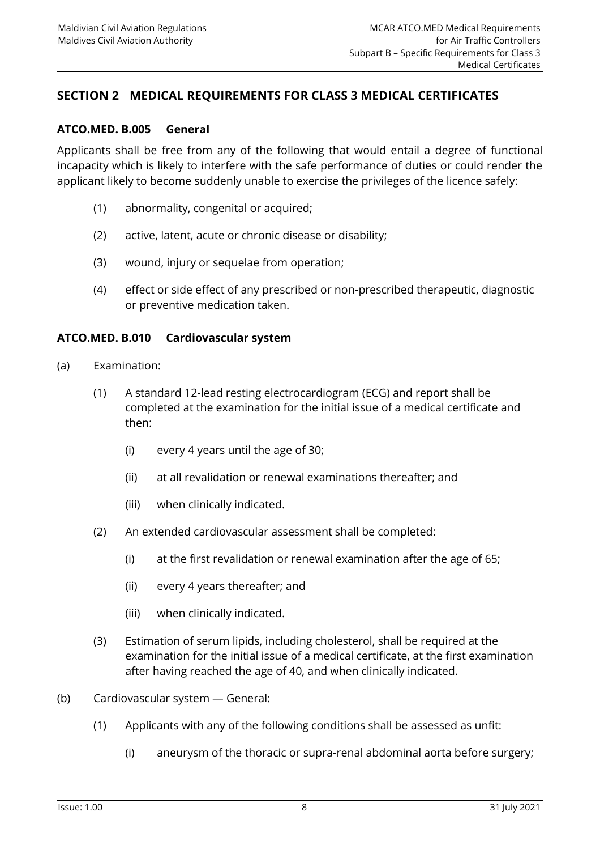## <span id="page-13-1"></span><span id="page-13-0"></span>**SECTION 2 MEDICAL REQUIREMENTS FOR CLASS 3 MEDICAL CERTIFICATES**

#### **ATCO.MED. B.005 General**

Applicants shall be free from any of the following that would entail a degree of functional incapacity which is likely to interfere with the safe performance of duties or could render the applicant likely to become suddenly unable to exercise the privileges of the licence safely:

- (1) abnormality, congenital or acquired;
- (2) active, latent, acute or chronic disease or disability;
- (3) wound, injury or sequelae from operation;
- (4) effect or side effect of any prescribed or non-prescribed therapeutic, diagnostic or preventive medication taken.

#### <span id="page-13-2"></span>**ATCO.MED. B.010 Cardiovascular system**

- (a) Examination:
	- (1) A standard 12-lead resting electrocardiogram (ECG) and report shall be completed at the examination for the initial issue of a medical certificate and then:
		- (i) every 4 years until the age of 30;
		- (ii) at all revalidation or renewal examinations thereafter; and
		- (iii) when clinically indicated.
	- (2) An extended cardiovascular assessment shall be completed:
		- (i) at the first revalidation or renewal examination after the age of 65;
		- (ii) every 4 years thereafter; and
		- (iii) when clinically indicated.
	- (3) Estimation of serum lipids, including cholesterol, shall be required at the examination for the initial issue of a medical certificate, at the first examination after having reached the age of 40, and when clinically indicated.
- (b) Cardiovascular system General:
	- (1) Applicants with any of the following conditions shall be assessed as unfit:
		- (i) aneurysm of the thoracic or supra-renal abdominal aorta before surgery;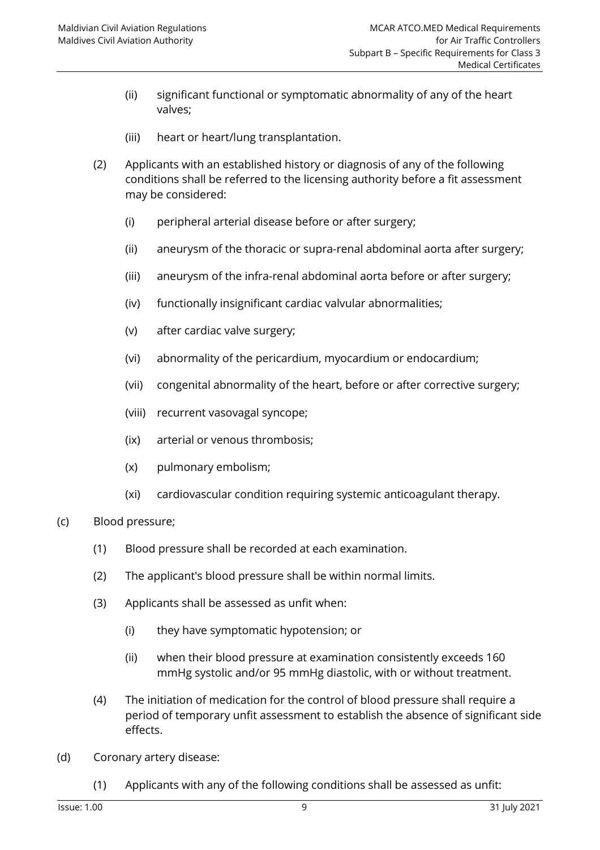- (ii) significant functional or symptomatic abnormality of any of the heart valves;
- (iii) heart or heart/lung transplantation.
- (2) Applicants with an established history or diagnosis of any of the following conditions shall be referred to the licensing authority before a fit assessment may be considered:
	- (i) peripheral arterial disease before or after surgery;
	- (ii) aneurysm of the thoracic or supra-renal abdominal aorta after surgery;
	- (iii) aneurysm of the infra-renal abdominal aorta before or after surgery;
	- (iv) functionally insignificant cardiac valvular abnormalities;
	- (v) after cardiac valve surgery;
	- (vi) abnormality of the pericardium, myocardium or endocardium;
	- (vii) congenital abnormality of the heart, before or after corrective surgery;
	- (viii) recurrent vasovagal syncope;
	- (ix) arterial or venous thrombosis;
	- (x) pulmonary embolism;
	- (xi) cardiovascular condition requiring systemic anticoagulant therapy.
- (c) Blood pressure;
	- (1) Blood pressure shall be recorded at each examination.
	- (2) The applicant's blood pressure shall be within normal limits.
	- (3) Applicants shall be assessed as unfit when:
		- (i) they have symptomatic hypotension; or
		- (ii) when their blood pressure at examination consistently exceeds 160 mmHg systolic and/or 95 mmHg diastolic, with or without treatment.
	- (4) The initiation of medication for the control of blood pressure shall require a period of temporary unfit assessment to establish the absence of significant side effects.
- (d) Coronary artery disease:
	- (1) Applicants with any of the following conditions shall be assessed as unfit: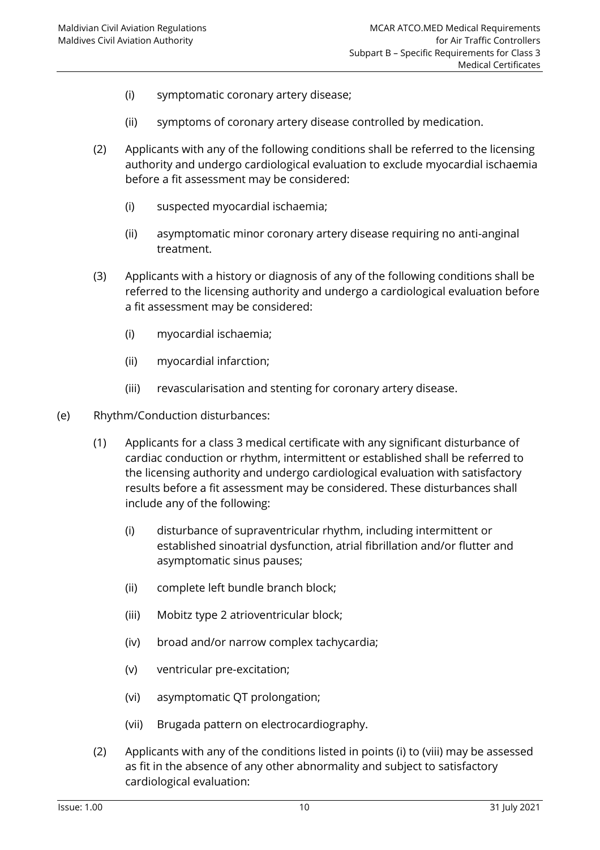- (i) symptomatic coronary artery disease;
- (ii) symptoms of coronary artery disease controlled by medication.
- (2) Applicants with any of the following conditions shall be referred to the licensing authority and undergo cardiological evaluation to exclude myocardial ischaemia before a fit assessment may be considered:
	- (i) suspected myocardial ischaemia;
	- (ii) asymptomatic minor coronary artery disease requiring no anti-anginal treatment.
- (3) Applicants with a history or diagnosis of any of the following conditions shall be referred to the licensing authority and undergo a cardiological evaluation before a fit assessment may be considered:
	- (i) myocardial ischaemia;
	- (ii) myocardial infarction;
	- (iii) revascularisation and stenting for coronary artery disease.
- (e) Rhythm/Conduction disturbances:
	- (1) Applicants for a class 3 medical certificate with any significant disturbance of cardiac conduction or rhythm, intermittent or established shall be referred to the licensing authority and undergo cardiological evaluation with satisfactory results before a fit assessment may be considered. These disturbances shall include any of the following:
		- (i) disturbance of supraventricular rhythm, including intermittent or established sinoatrial dysfunction, atrial fibrillation and/or flutter and asymptomatic sinus pauses;
		- (ii) complete left bundle branch block;
		- (iii) Mobitz type 2 atrioventricular block;
		- (iv) broad and/or narrow complex tachycardia;
		- (v) ventricular pre-excitation;
		- (vi) asymptomatic QT prolongation;
		- (vii) Brugada pattern on electrocardiography.
	- (2) Applicants with any of the conditions listed in points (i) to (viii) may be assessed as fit in the absence of any other abnormality and subject to satisfactory cardiological evaluation: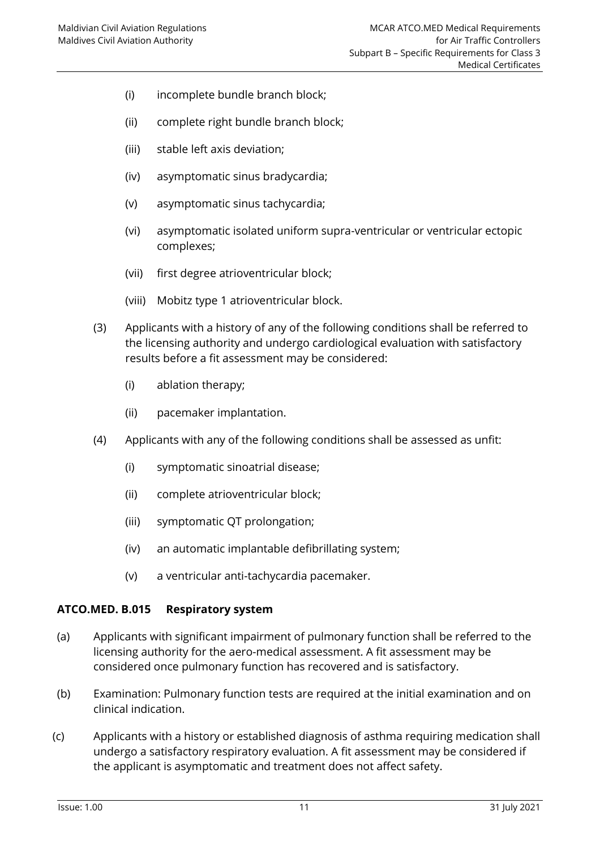- (i) incomplete bundle branch block;
- (ii) complete right bundle branch block;
- (iii) stable left axis deviation;
- (iv) asymptomatic sinus bradycardia;
- (v) asymptomatic sinus tachycardia;
- (vi) asymptomatic isolated uniform supra-ventricular or ventricular ectopic complexes;
- (vii) first degree atrioventricular block;
- (viii) Mobitz type 1 atrioventricular block.
- (3) Applicants with a history of any of the following conditions shall be referred to the licensing authority and undergo cardiological evaluation with satisfactory results before a fit assessment may be considered:
	- (i) ablation therapy;
	- (ii) pacemaker implantation.
- (4) Applicants with any of the following conditions shall be assessed as unfit:
	- (i) symptomatic sinoatrial disease;
	- (ii) complete atrioventricular block;
	- (iii) symptomatic QT prolongation;
	- (iv) an automatic implantable defibrillating system;
	- (v) a ventricular anti-tachycardia pacemaker.

#### <span id="page-16-0"></span>**ATCO.MED. B.015 Respiratory system**

- (a) Applicants with significant impairment of pulmonary function shall be referred to the licensing authority for the aero-medical assessment. A fit assessment may be considered once pulmonary function has recovered and is satisfactory.
- (b) Examination: Pulmonary function tests are required at the initial examination and on clinical indication.
- (c) Applicants with a history or established diagnosis of asthma requiring medication shall undergo a satisfactory respiratory evaluation. A fit assessment may be considered if the applicant is asymptomatic and treatment does not affect safety.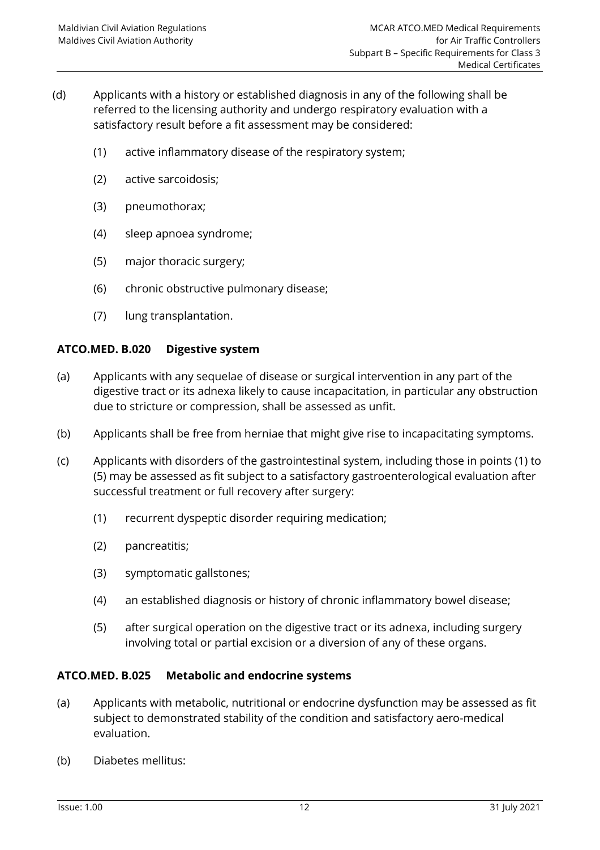- (d) Applicants with a history or established diagnosis in any of the following shall be referred to the licensing authority and undergo respiratory evaluation with a satisfactory result before a fit assessment may be considered:
	- (1) active inflammatory disease of the respiratory system;
	- (2) active sarcoidosis;
	- (3) pneumothorax;
	- (4) sleep apnoea syndrome;
	- (5) major thoracic surgery;
	- (6) chronic obstructive pulmonary disease;
	- (7) lung transplantation.

## <span id="page-17-0"></span>**ATCO.MED. B.020 Digestive system**

- (a) Applicants with any sequelae of disease or surgical intervention in any part of the digestive tract or its adnexa likely to cause incapacitation, in particular any obstruction due to stricture or compression, shall be assessed as unfit.
- (b) Applicants shall be free from herniae that might give rise to incapacitating symptoms.
- (c) Applicants with disorders of the gastrointestinal system, including those in points (1) to (5) may be assessed as fit subject to a satisfactory gastroenterological evaluation after successful treatment or full recovery after surgery:
	- (1) recurrent dyspeptic disorder requiring medication;
	- (2) pancreatitis;
	- (3) symptomatic gallstones;
	- (4) an established diagnosis or history of chronic inflammatory bowel disease;
	- (5) after surgical operation on the digestive tract or its adnexa, including surgery involving total or partial excision or a diversion of any of these organs.

## <span id="page-17-1"></span>**ATCO.MED. B.025 Metabolic and endocrine systems**

- (a) Applicants with metabolic, nutritional or endocrine dysfunction may be assessed as fit subject to demonstrated stability of the condition and satisfactory aero-medical evaluation.
- (b) Diabetes mellitus: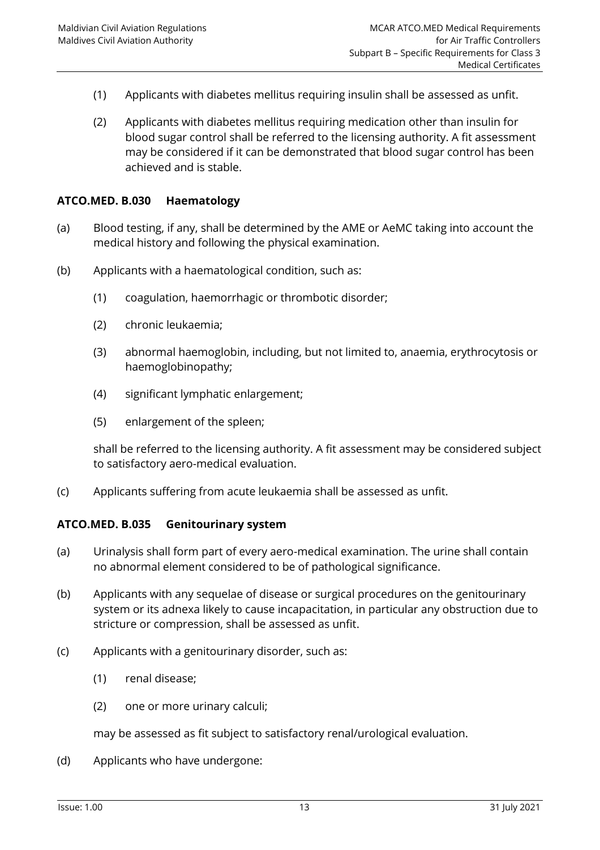- (1) Applicants with diabetes mellitus requiring insulin shall be assessed as unfit.
- (2) Applicants with diabetes mellitus requiring medication other than insulin for blood sugar control shall be referred to the licensing authority. A fit assessment may be considered if it can be demonstrated that blood sugar control has been achieved and is stable.

#### <span id="page-18-0"></span>**ATCO.MED. B.030 Haematology**

- (a) Blood testing, if any, shall be determined by the AME or AeMC taking into account the medical history and following the physical examination.
- (b) Applicants with a haematological condition, such as:
	- (1) coagulation, haemorrhagic or thrombotic disorder;
	- (2) chronic leukaemia;
	- (3) abnormal haemoglobin, including, but not limited to, anaemia, erythrocytosis or haemoglobinopathy;
	- (4) significant lymphatic enlargement;
	- (5) enlargement of the spleen;

shall be referred to the licensing authority. A fit assessment may be considered subject to satisfactory aero-medical evaluation.

<span id="page-18-1"></span>(c) Applicants suffering from acute leukaemia shall be assessed as unfit.

#### **ATCO.MED. B.035 Genitourinary system**

- (a) Urinalysis shall form part of every aero-medical examination. The urine shall contain no abnormal element considered to be of pathological significance.
- (b) Applicants with any sequelae of disease or surgical procedures on the genitourinary system or its adnexa likely to cause incapacitation, in particular any obstruction due to stricture or compression, shall be assessed as unfit.
- (c) Applicants with a genitourinary disorder, such as:
	- (1) renal disease;
	- (2) one or more urinary calculi;

may be assessed as fit subject to satisfactory renal/urological evaluation.

(d) Applicants who have undergone: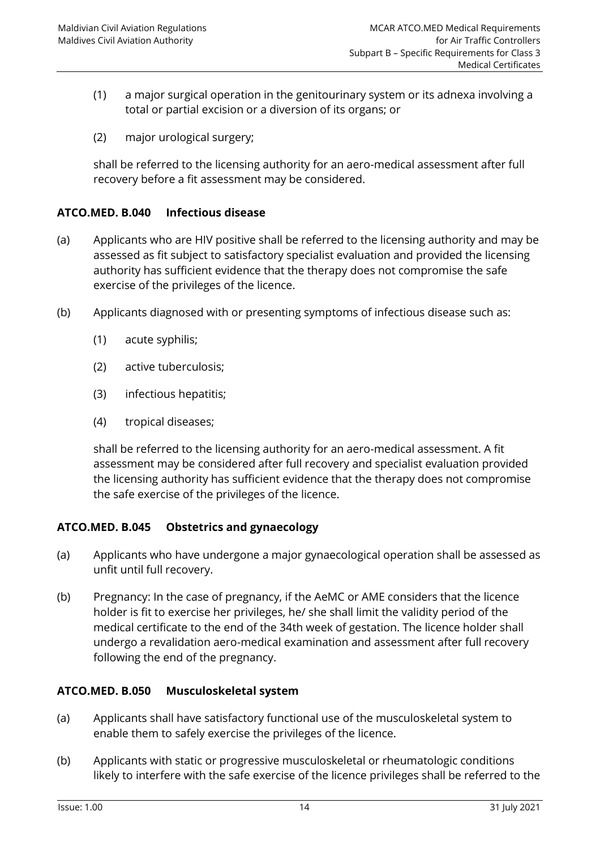- (1) a major surgical operation in the genitourinary system or its adnexa involving a total or partial excision or a diversion of its organs; or
- (2) major urological surgery;

shall be referred to the licensing authority for an aero-medical assessment after full recovery before a fit assessment may be considered.

## <span id="page-19-0"></span>**ATCO.MED. B.040 Infectious disease**

- (a) Applicants who are HIV positive shall be referred to the licensing authority and may be assessed as fit subject to satisfactory specialist evaluation and provided the licensing authority has sufficient evidence that the therapy does not compromise the safe exercise of the privileges of the licence.
- (b) Applicants diagnosed with or presenting symptoms of infectious disease such as:
	- (1) acute syphilis;
	- (2) active tuberculosis;
	- (3) infectious hepatitis;
	- (4) tropical diseases;

shall be referred to the licensing authority for an aero-medical assessment. A fit assessment may be considered after full recovery and specialist evaluation provided the licensing authority has sufficient evidence that the therapy does not compromise the safe exercise of the privileges of the licence.

## <span id="page-19-1"></span>**ATCO.MED. B.045 Obstetrics and gynaecology**

- (a) Applicants who have undergone a major gynaecological operation shall be assessed as unfit until full recovery.
- (b) Pregnancy: In the case of pregnancy, if the AeMC or AME considers that the licence holder is fit to exercise her privileges, he/ she shall limit the validity period of the medical certificate to the end of the 34th week of gestation. The licence holder shall undergo a revalidation aero-medical examination and assessment after full recovery following the end of the pregnancy.

#### <span id="page-19-2"></span>**ATCO.MED. B.050 Musculoskeletal system**

- (a) Applicants shall have satisfactory functional use of the musculoskeletal system to enable them to safely exercise the privileges of the licence.
- (b) Applicants with static or progressive musculoskeletal or rheumatologic conditions likely to interfere with the safe exercise of the licence privileges shall be referred to the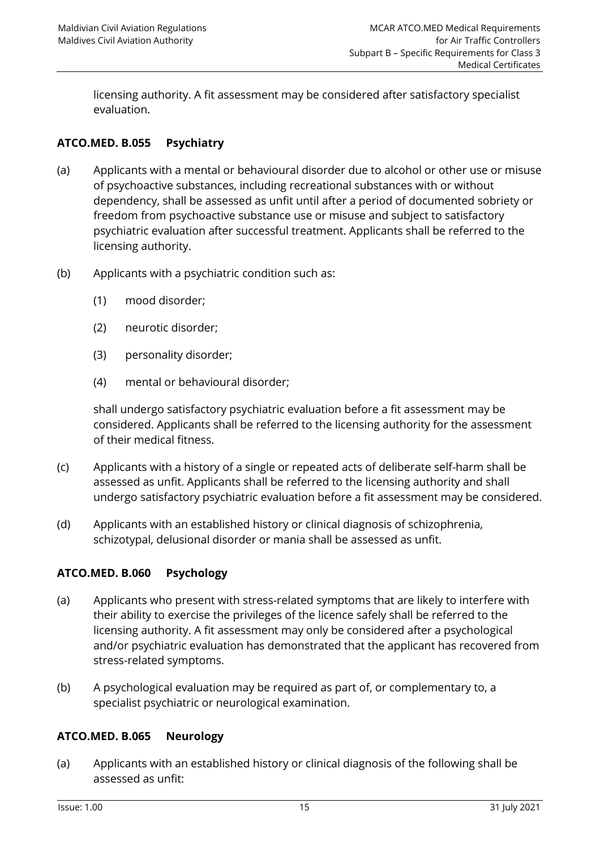licensing authority. A fit assessment may be considered after satisfactory specialist evaluation.

## <span id="page-20-0"></span>**ATCO.MED. B.055 Psychiatry**

- (a) Applicants with a mental or behavioural disorder due to alcohol or other use or misuse of psychoactive substances, including recreational substances with or without dependency, shall be assessed as unfit until after a period of documented sobriety or freedom from psychoactive substance use or misuse and subject to satisfactory psychiatric evaluation after successful treatment. Applicants shall be referred to the licensing authority.
- (b) Applicants with a psychiatric condition such as:
	- (1) mood disorder;
	- (2) neurotic disorder;
	- (3) personality disorder;
	- (4) mental or behavioural disorder;

shall undergo satisfactory psychiatric evaluation before a fit assessment may be considered. Applicants shall be referred to the licensing authority for the assessment of their medical fitness.

- (c) Applicants with a history of a single or repeated acts of deliberate self-harm shall be assessed as unfit. Applicants shall be referred to the licensing authority and shall undergo satisfactory psychiatric evaluation before a fit assessment may be considered.
- (d) Applicants with an established history or clinical diagnosis of schizophrenia, schizotypal, delusional disorder or mania shall be assessed as unfit.

#### <span id="page-20-1"></span>**ATCO.MED. B.060 Psychology**

- (a) Applicants who present with stress-related symptoms that are likely to interfere with their ability to exercise the privileges of the licence safely shall be referred to the licensing authority. A fit assessment may only be considered after a psychological and/or psychiatric evaluation has demonstrated that the applicant has recovered from stress-related symptoms.
- (b) A psychological evaluation may be required as part of, or complementary to, a specialist psychiatric or neurological examination.

## <span id="page-20-2"></span>**ATCO.MED. B.065 Neurology**

(a) Applicants with an established history or clinical diagnosis of the following shall be assessed as unfit: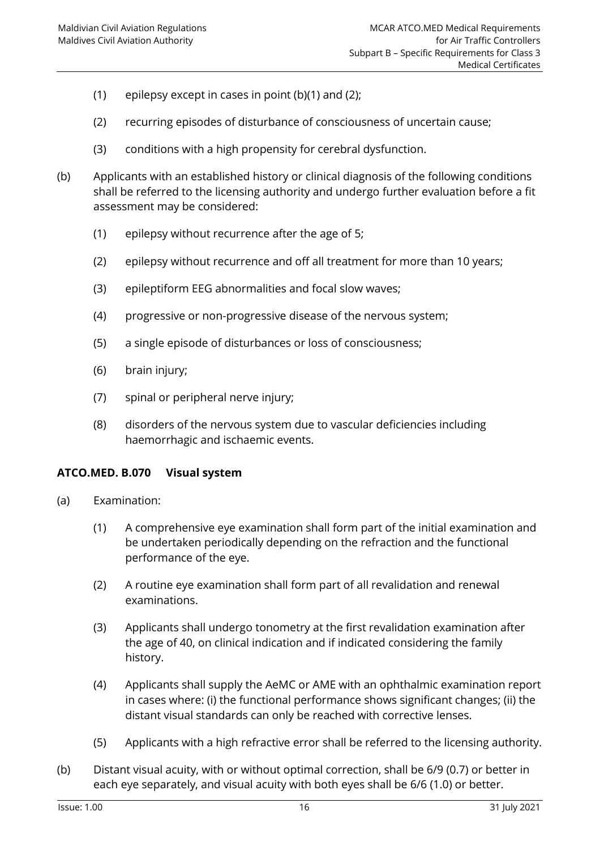- (1) epilepsy except in cases in point (b)(1) and (2);
- (2) recurring episodes of disturbance of consciousness of uncertain cause;
- (3) conditions with a high propensity for cerebral dysfunction.
- (b) Applicants with an established history or clinical diagnosis of the following conditions shall be referred to the licensing authority and undergo further evaluation before a fit assessment may be considered:
	- (1) epilepsy without recurrence after the age of 5;
	- (2) epilepsy without recurrence and off all treatment for more than 10 years;
	- (3) epileptiform EEG abnormalities and focal slow waves;
	- (4) progressive or non-progressive disease of the nervous system;
	- (5) a single episode of disturbances or loss of consciousness;
	- (6) brain injury;
	- (7) spinal or peripheral nerve injury;
	- (8) disorders of the nervous system due to vascular deficiencies including haemorrhagic and ischaemic events.

#### <span id="page-21-0"></span>**ATCO.MED. B.070 Visual system**

- (a) Examination:
	- (1) A comprehensive eye examination shall form part of the initial examination and be undertaken periodically depending on the refraction and the functional performance of the eye.
	- (2) A routine eye examination shall form part of all revalidation and renewal examinations.
	- (3) Applicants shall undergo tonometry at the first revalidation examination after the age of 40, on clinical indication and if indicated considering the family history.
	- (4) Applicants shall supply the AeMC or AME with an ophthalmic examination report in cases where: (i) the functional performance shows significant changes; (ii) the distant visual standards can only be reached with corrective lenses.
	- (5) Applicants with a high refractive error shall be referred to the licensing authority.
- (b) Distant visual acuity, with or without optimal correction, shall be 6/9 (0.7) or better in each eye separately, and visual acuity with both eyes shall be 6/6 (1.0) or better.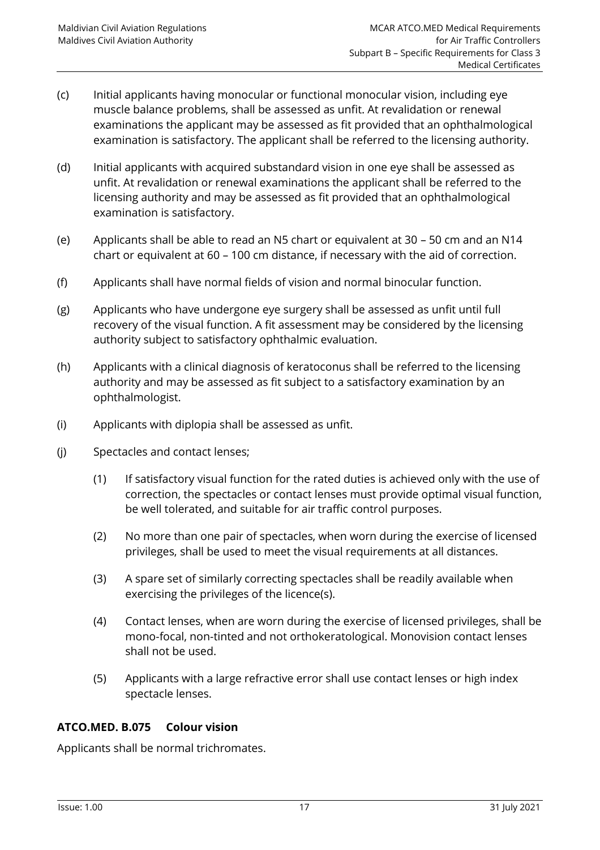- (c) Initial applicants having monocular or functional monocular vision, including eye muscle balance problems, shall be assessed as unfit. At revalidation or renewal examinations the applicant may be assessed as fit provided that an ophthalmological examination is satisfactory. The applicant shall be referred to the licensing authority.
- (d) Initial applicants with acquired substandard vision in one eye shall be assessed as unfit. At revalidation or renewal examinations the applicant shall be referred to the licensing authority and may be assessed as fit provided that an ophthalmological examination is satisfactory.
- (e) Applicants shall be able to read an N5 chart or equivalent at 30 50 cm and an N14 chart or equivalent at 60 – 100 cm distance, if necessary with the aid of correction.
- (f) Applicants shall have normal fields of vision and normal binocular function.
- (g) Applicants who have undergone eye surgery shall be assessed as unfit until full recovery of the visual function. A fit assessment may be considered by the licensing authority subject to satisfactory ophthalmic evaluation.
- (h) Applicants with a clinical diagnosis of keratoconus shall be referred to the licensing authority and may be assessed as fit subject to a satisfactory examination by an ophthalmologist.
- (i) Applicants with diplopia shall be assessed as unfit.
- (j) Spectacles and contact lenses;
	- (1) If satisfactory visual function for the rated duties is achieved only with the use of correction, the spectacles or contact lenses must provide optimal visual function, be well tolerated, and suitable for air traffic control purposes.
	- (2) No more than one pair of spectacles, when worn during the exercise of licensed privileges, shall be used to meet the visual requirements at all distances.
	- (3) A spare set of similarly correcting spectacles shall be readily available when exercising the privileges of the licence(s).
	- (4) Contact lenses, when are worn during the exercise of licensed privileges, shall be mono-focal, non-tinted and not orthokeratological. Monovision contact lenses shall not be used.
	- (5) Applicants with a large refractive error shall use contact lenses or high index spectacle lenses.

## <span id="page-22-0"></span>**ATCO.MED. B.075 Colour vision**

Applicants shall be normal trichromates.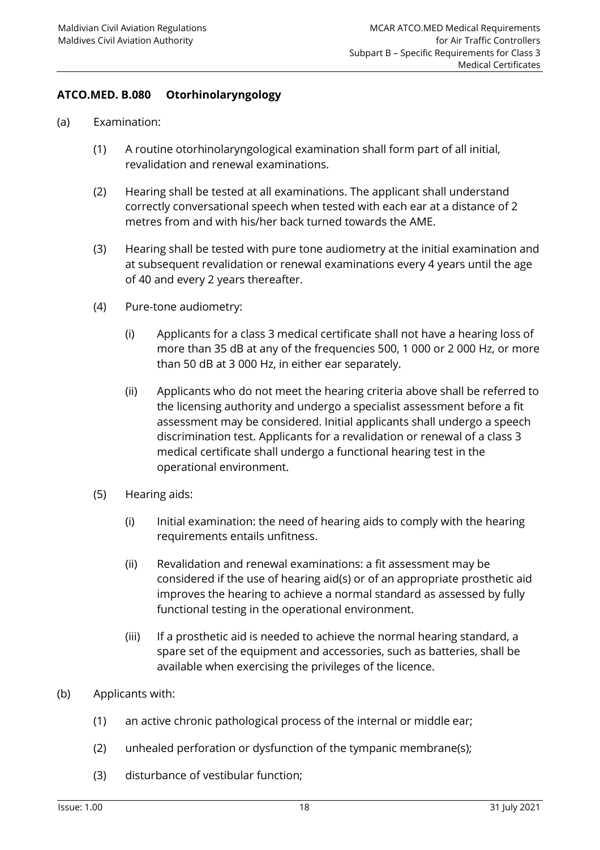## <span id="page-23-0"></span>**ATCO.MED. B.080 Otorhinolaryngology**

- (a) Examination:
	- (1) A routine otorhinolaryngological examination shall form part of all initial, revalidation and renewal examinations.
	- (2) Hearing shall be tested at all examinations. The applicant shall understand correctly conversational speech when tested with each ear at a distance of 2 metres from and with his/her back turned towards the AME.
	- (3) Hearing shall be tested with pure tone audiometry at the initial examination and at subsequent revalidation or renewal examinations every 4 years until the age of 40 and every 2 years thereafter.
	- (4) Pure-tone audiometry:
		- (i) Applicants for a class 3 medical certificate shall not have a hearing loss of more than 35 dB at any of the frequencies 500, 1 000 or 2 000 Hz, or more than 50 dB at 3 000 Hz, in either ear separately.
		- (ii) Applicants who do not meet the hearing criteria above shall be referred to the licensing authority and undergo a specialist assessment before a fit assessment may be considered. Initial applicants shall undergo a speech discrimination test. Applicants for a revalidation or renewal of a class 3 medical certificate shall undergo a functional hearing test in the operational environment.
	- (5) Hearing aids:
		- (i) Initial examination: the need of hearing aids to comply with the hearing requirements entails unfitness.
		- (ii) Revalidation and renewal examinations: a fit assessment may be considered if the use of hearing aid(s) or of an appropriate prosthetic aid improves the hearing to achieve a normal standard as assessed by fully functional testing in the operational environment.
		- (iii) If a prosthetic aid is needed to achieve the normal hearing standard, a spare set of the equipment and accessories, such as batteries, shall be available when exercising the privileges of the licence.
- (b) Applicants with:
	- (1) an active chronic pathological process of the internal or middle ear;
	- (2) unhealed perforation or dysfunction of the tympanic membrane(s);
	- (3) disturbance of vestibular function;